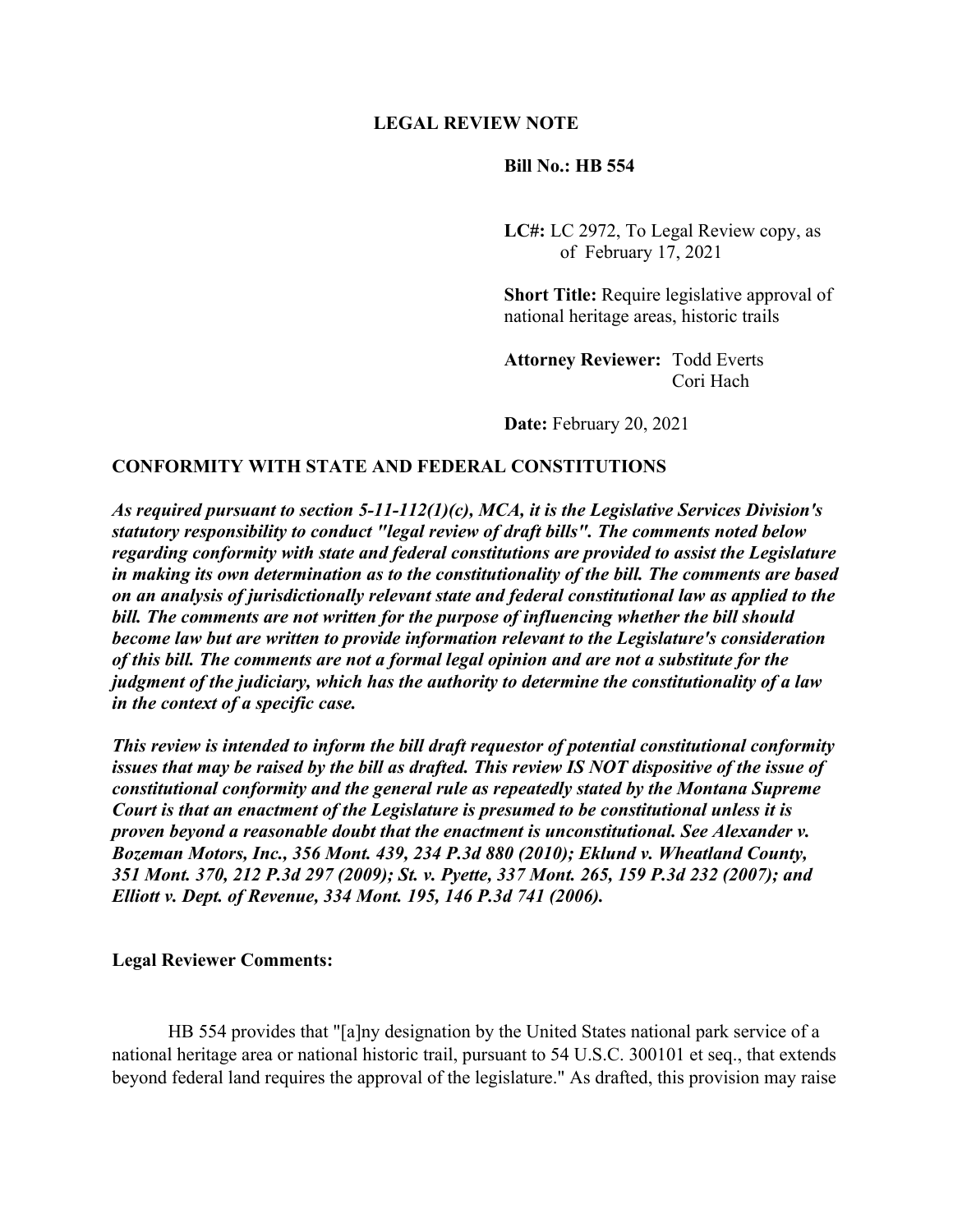# **LEGAL REVIEW NOTE**

# **Bill No.: HB 554**

 **LC#:** LC 2972, To Legal Review copy, as of February 17, 2021

 **Short Title:** Require legislative approval of national heritage areas, historic trails

 **Attorney Reviewer:** Todd Everts Cori Hach

**Date:** February 20, 2021

# **CONFORMITY WITH STATE AND FEDERAL CONSTITUTIONS**

*As required pursuant to section 5-11-112(1)(c), MCA, it is the Legislative Services Division's statutory responsibility to conduct "legal review of draft bills". The comments noted below regarding conformity with state and federal constitutions are provided to assist the Legislature in making its own determination as to the constitutionality of the bill. The comments are based on an analysis of jurisdictionally relevant state and federal constitutional law as applied to the bill. The comments are not written for the purpose of influencing whether the bill should become law but are written to provide information relevant to the Legislature's consideration of this bill. The comments are not a formal legal opinion and are not a substitute for the judgment of the judiciary, which has the authority to determine the constitutionality of a law in the context of a specific case.* 

*This review is intended to inform the bill draft requestor of potential constitutional conformity issues that may be raised by the bill as drafted. This review IS NOT dispositive of the issue of constitutional conformity and the general rule as repeatedly stated by the Montana Supreme Court is that an enactment of the Legislature is presumed to be constitutional unless it is proven beyond a reasonable doubt that the enactment is unconstitutional. See Alexander v. Bozeman Motors, Inc., 356 Mont. 439, 234 P.3d 880 (2010); Eklund v. Wheatland County, 351 Mont. 370, 212 P.3d 297 (2009); St. v. Pyette, 337 Mont. 265, 159 P.3d 232 (2007); and Elliott v. Dept. of Revenue, 334 Mont. 195, 146 P.3d 741 (2006).* 

#### **Legal Reviewer Comments:**

 HB 554 provides that "[a]ny designation by the United States national park service of a national heritage area or national historic trail, pursuant to 54 U.S.C. 300101 et seq., that extends beyond federal land requires the approval of the legislature." As drafted, this provision may raise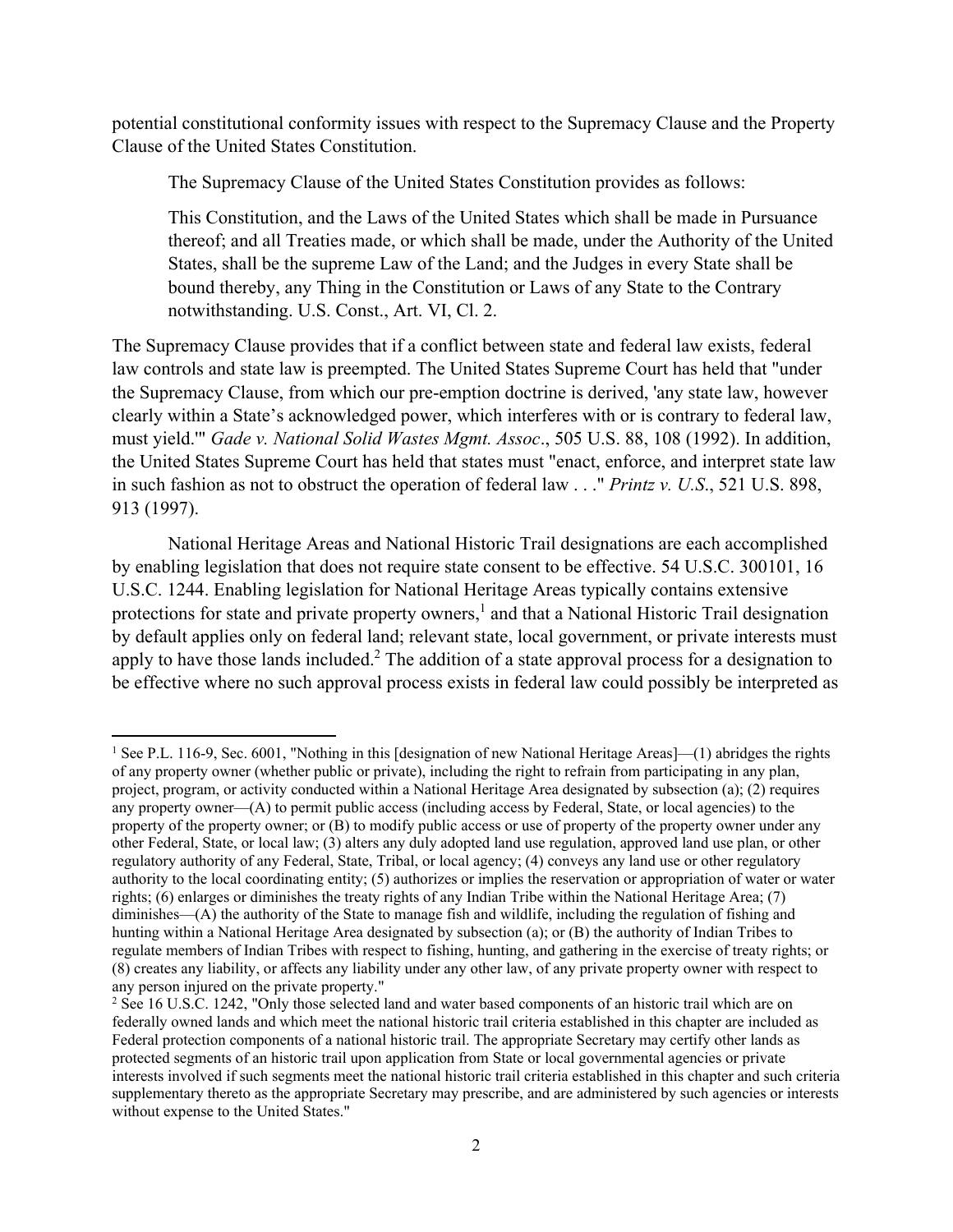potential constitutional conformity issues with respect to the Supremacy Clause and the Property Clause of the United States Constitution.

The Supremacy Clause of the United States Constitution provides as follows:

This Constitution, and the Laws of the United States which shall be made in Pursuance thereof; and all Treaties made, or which shall be made, under the Authority of the United States, shall be the supreme Law of the Land; and the Judges in every State shall be bound thereby, any Thing in the Constitution or Laws of any State to the Contrary notwithstanding. U.S. Const., Art. VI, Cl. 2.

The Supremacy Clause provides that if a conflict between state and federal law exists, federal law controls and state law is preempted. The United States Supreme Court has held that "under the Supremacy Clause, from which our pre-emption doctrine is derived, 'any state law, however clearly within a State's acknowledged power, which interferes with or is contrary to federal law, must yield.'" *Gade v. National Solid Wastes Mgmt. Assoc*., 505 U.S. 88, 108 (1992). In addition, the United States Supreme Court has held that states must "enact, enforce, and interpret state law in such fashion as not to obstruct the operation of federal law . . ." *Printz v. U.S*., 521 U.S. 898, 913 (1997).

 National Heritage Areas and National Historic Trail designations are each accomplished by enabling legislation that does not require state consent to be effective. 54 U.S.C. 300101, 16 U.S.C. 1244. Enabling legislation for National Heritage Areas typically contains extensive protections for state and private property owners,<sup>1</sup> and that a National Historic Trail designation by default applies only on federal land; relevant state, local government, or private interests must apply to have those lands included.<sup>2</sup> The addition of a state approval process for a designation to be effective where no such approval process exists in federal law could possibly be interpreted as

<sup>&</sup>lt;sup>1</sup> See P.L. 116-9, Sec. 6001, "Nothing in this [designation of new National Heritage Areas]—(1) abridges the rights of any property owner (whether public or private), including the right to refrain from participating in any plan, project, program, or activity conducted within a National Heritage Area designated by subsection (a); (2) requires any property owner—(A) to permit public access (including access by Federal, State, or local agencies) to the property of the property owner; or (B) to modify public access or use of property of the property owner under any other Federal, State, or local law; (3) alters any duly adopted land use regulation, approved land use plan, or other regulatory authority of any Federal, State, Tribal, or local agency; (4) conveys any land use or other regulatory authority to the local coordinating entity; (5) authorizes or implies the reservation or appropriation of water or water rights; (6) enlarges or diminishes the treaty rights of any Indian Tribe within the National Heritage Area; (7) diminishes—(A) the authority of the State to manage fish and wildlife, including the regulation of fishing and hunting within a National Heritage Area designated by subsection (a); or (B) the authority of Indian Tribes to regulate members of Indian Tribes with respect to fishing, hunting, and gathering in the exercise of treaty rights; or (8) creates any liability, or affects any liability under any other law, of any private property owner with respect to any person injured on the private property."

<sup>&</sup>lt;sup>2</sup> See 16 U.S.C. 1242, "Only those selected land and water based components of an historic trail which are on federally owned lands and which meet the national historic trail criteria established in this chapter are included as Federal protection components of a national historic trail. The appropriate Secretary may certify other lands as protected segments of an historic trail upon application from State or local governmental agencies or private interests involved if such segments meet the national historic trail criteria established in this chapter and such criteria supplementary thereto as the appropriate Secretary may prescribe, and are administered by such agencies or interests without expense to the United States."